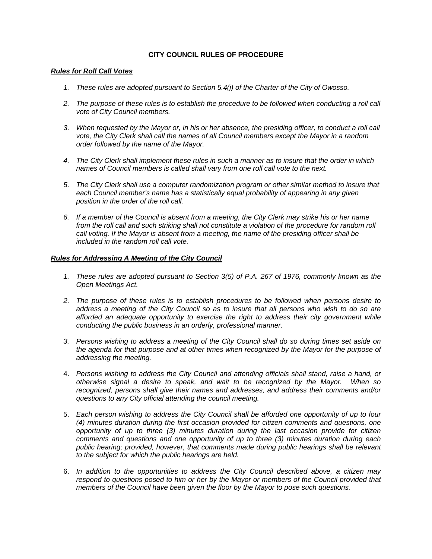## **CITY COUNCIL RULES OF PROCEDURE**

## *Rules for Roll Call Votes*

- *1. These rules are adopted pursuant to Section 5.4(j) of the Charter of the City of Owosso.*
- 2. The purpose of these rules is to establish the procedure to be followed when conducting a roll call *vote of City Council members.*
- 3. When requested by the Mayor or, in his or her absence, the presiding officer, to conduct a roll call *vote, the City Clerk shall call the names of all Council members except the Mayor in a random order followed by the name of the Mayor.*
- *4. The City Clerk shall implement these rules in such a manner as to insure that the order in which names of Council members is called shall vary from one roll call vote to the next.*
- *5. The City Clerk shall use a computer randomization program or other similar method to insure that*  each Council member's name has a statistically equal probability of appearing in any given *position in the order of the roll call.*
- *6. If a member of the Council is absent from a meeting, the City Clerk may strike his or her name from the roll call and such striking shall not constitute a violation of the procedure for random roll call voting. If the Mayor is absent from a meeting, the name of the presiding officer shall be included in the random roll call vote.*

## *Rules for Addressing A Meeting of the City Council*

- *1. These rules are adopted pursuant to Section 3(5) of P.A. 267 of 1976, commonly known as the Open Meetings Act.*
- *2. The purpose of these rules is to establish procedures to be followed when persons desire to address a meeting of the City Council so as to insure that all persons who wish to do so are afforded an adequate opportunity to exercise the right to address their city government while conducting the public business in an orderly, professional manner.*
- *3. Persons wishing to address a meeting of the City Council shall do so during times set aside on the agenda for that purpose and at other times when recognized by the Mayor for the purpose of addressing the meeting.*
- 4. *Persons wishing to address the City Council and attending officials shall stand, raise a hand, or otherwise signal a desire to speak, and wait to be recognized by the Mayor. When so recognized, persons shall give their names and addresses, and address their comments and/or questions to any City official attending the council meeting.*
- 5. *Each person wishing to address the City Council shall be afforded one opportunity of up to four (4) minutes duration during the first occasion provided for citizen comments and questions, one opportunity of up to three (3) minutes duration during the last occasion provide for citizen comments and questions and one opportunity of up to three (3) minutes duration during each*  public hearing; provided, however, that comments made during public hearings shall be relevant *to the subject for which the public hearings are held.*
- 6. *In addition to the opportunities to address the City Council described above, a citizen may respond to questions posed to him or her by the Mayor or members of the Council provided that members of the Council have been given the floor by the Mayor to pose such questions.*